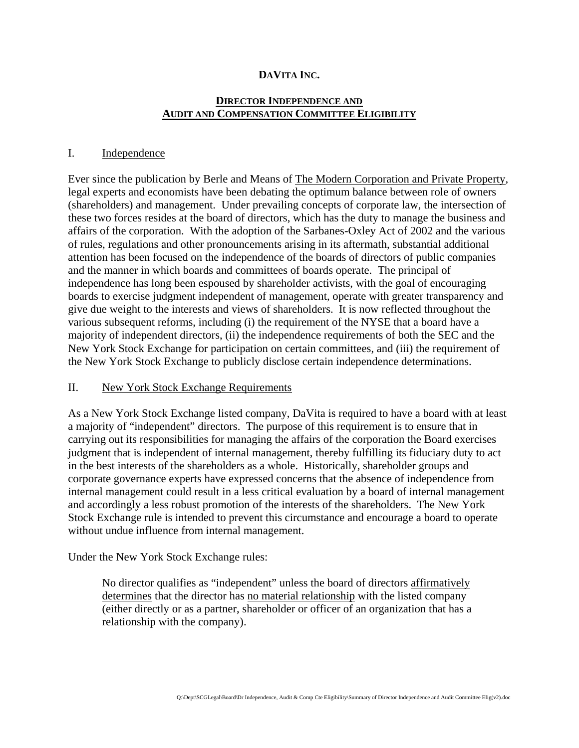#### **DAVITA INC.**

## **DIRECTOR INDEPENDENCE AND AUDIT AND COMPENSATION COMMITTEE ELIGIBILITY**

#### I. Independence

Ever since the publication by Berle and Means of The Modern Corporation and Private Property, legal experts and economists have been debating the optimum balance between role of owners (shareholders) and management. Under prevailing concepts of corporate law, the intersection of these two forces resides at the board of directors, which has the duty to manage the business and affairs of the corporation. With the adoption of the Sarbanes-Oxley Act of 2002 and the various of rules, regulations and other pronouncements arising in its aftermath, substantial additional attention has been focused on the independence of the boards of directors of public companies and the manner in which boards and committees of boards operate. The principal of independence has long been espoused by shareholder activists, with the goal of encouraging boards to exercise judgment independent of management, operate with greater transparency and give due weight to the interests and views of shareholders. It is now reflected throughout the various subsequent reforms, including (i) the requirement of the NYSE that a board have a majority of independent directors, (ii) the independence requirements of both the SEC and the New York Stock Exchange for participation on certain committees, and (iii) the requirement of the New York Stock Exchange to publicly disclose certain independence determinations.

#### II. New York Stock Exchange Requirements

As a New York Stock Exchange listed company, DaVita is required to have a board with at least a majority of "independent" directors. The purpose of this requirement is to ensure that in carrying out its responsibilities for managing the affairs of the corporation the Board exercises judgment that is independent of internal management, thereby fulfilling its fiduciary duty to act in the best interests of the shareholders as a whole. Historically, shareholder groups and corporate governance experts have expressed concerns that the absence of independence from internal management could result in a less critical evaluation by a board of internal management and accordingly a less robust promotion of the interests of the shareholders. The New York Stock Exchange rule is intended to prevent this circumstance and encourage a board to operate without undue influence from internal management.

#### Under the New York Stock Exchange rules:

No director qualifies as "independent" unless the board of directors affirmatively determines that the director has no material relationship with the listed company (either directly or as a partner, shareholder or officer of an organization that has a relationship with the company).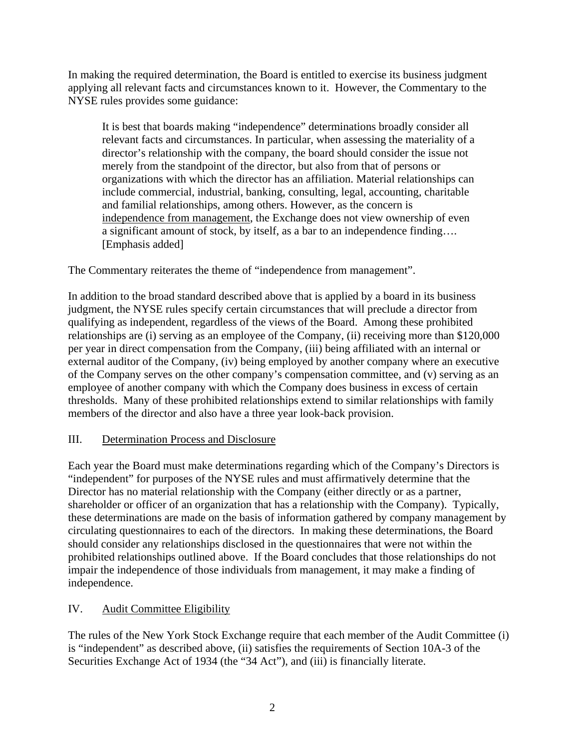In making the required determination, the Board is entitled to exercise its business judgment applying all relevant facts and circumstances known to it. However, the Commentary to the NYSE rules provides some guidance:

It is best that boards making "independence" determinations broadly consider all relevant facts and circumstances. In particular, when assessing the materiality of a director's relationship with the company, the board should consider the issue not merely from the standpoint of the director, but also from that of persons or organizations with which the director has an affiliation. Material relationships can include commercial, industrial, banking, consulting, legal, accounting, charitable and familial relationships, among others. However, as the concern is independence from management, the Exchange does not view ownership of even a significant amount of stock, by itself, as a bar to an independence finding…. [Emphasis added]

The Commentary reiterates the theme of "independence from management".

In addition to the broad standard described above that is applied by a board in its business judgment, the NYSE rules specify certain circumstances that will preclude a director from qualifying as independent, regardless of the views of the Board. Among these prohibited relationships are (i) serving as an employee of the Company, (ii) receiving more than \$120,000 per year in direct compensation from the Company, (iii) being affiliated with an internal or external auditor of the Company, (iv) being employed by another company where an executive of the Company serves on the other company's compensation committee, and (v) serving as an employee of another company with which the Company does business in excess of certain thresholds. Many of these prohibited relationships extend to similar relationships with family members of the director and also have a three year look-back provision.

## III. Determination Process and Disclosure

Each year the Board must make determinations regarding which of the Company's Directors is "independent" for purposes of the NYSE rules and must affirmatively determine that the Director has no material relationship with the Company (either directly or as a partner, shareholder or officer of an organization that has a relationship with the Company). Typically, these determinations are made on the basis of information gathered by company management by circulating questionnaires to each of the directors. In making these determinations, the Board should consider any relationships disclosed in the questionnaires that were not within the prohibited relationships outlined above. If the Board concludes that those relationships do not impair the independence of those individuals from management, it may make a finding of independence.

# IV. Audit Committee Eligibility

The rules of the New York Stock Exchange require that each member of the Audit Committee (i) is "independent" as described above, (ii) satisfies the requirements of Section 10A-3 of the Securities Exchange Act of 1934 (the "34 Act"), and (iii) is financially literate.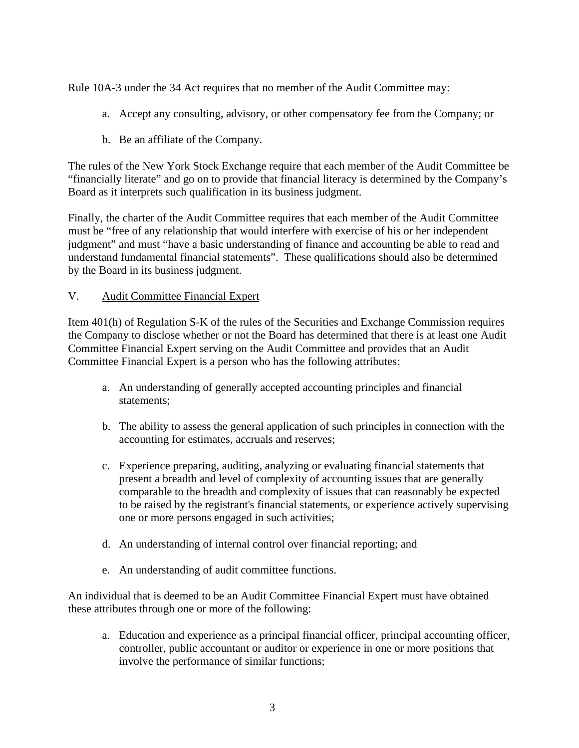Rule 10A-3 under the 34 Act requires that no member of the Audit Committee may:

- a. Accept any consulting, advisory, or other compensatory fee from the Company; or
- b. Be an affiliate of the Company.

The rules of the New York Stock Exchange require that each member of the Audit Committee be "financially literate" and go on to provide that financial literacy is determined by the Company's Board as it interprets such qualification in its business judgment.

Finally, the charter of the Audit Committee requires that each member of the Audit Committee must be "free of any relationship that would interfere with exercise of his or her independent judgment" and must "have a basic understanding of finance and accounting be able to read and understand fundamental financial statements". These qualifications should also be determined by the Board in its business judgment.

### V. Audit Committee Financial Expert

Item 401(h) of Regulation S-K of the rules of the Securities and Exchange Commission requires the Company to disclose whether or not the Board has determined that there is at least one Audit Committee Financial Expert serving on the Audit Committee and provides that an Audit Committee Financial Expert is a person who has the following attributes:

- a. An understanding of generally accepted accounting principles and financial statements;
- b. The ability to assess the general application of such principles in connection with the accounting for estimates, accruals and reserves;
- c. Experience preparing, auditing, analyzing or evaluating financial statements that present a breadth and level of complexity of accounting issues that are generally comparable to the breadth and complexity of issues that can reasonably be expected to be raised by the registrant's financial statements, or experience actively supervising one or more persons engaged in such activities;
- d. An understanding of internal control over financial reporting; and
- e. An understanding of audit committee functions.

An individual that is deemed to be an Audit Committee Financial Expert must have obtained these attributes through one or more of the following:

a. Education and experience as a principal financial officer, principal accounting officer, controller, public accountant or auditor or experience in one or more positions that involve the performance of similar functions;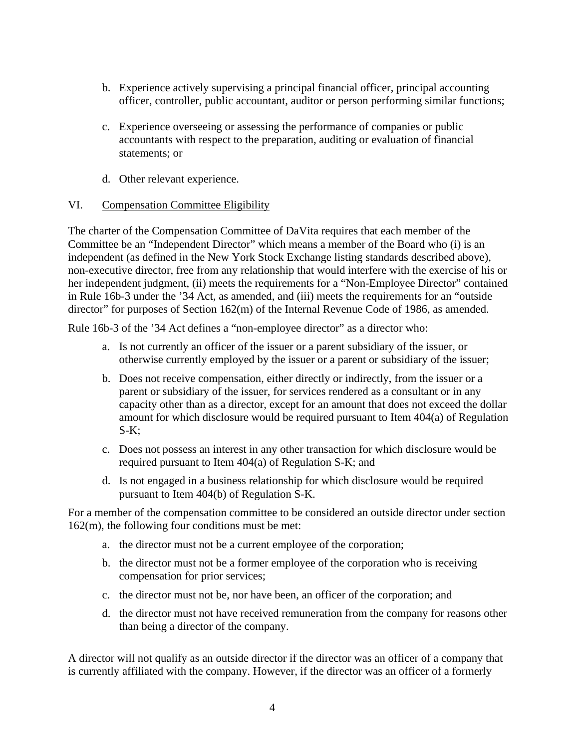- b. Experience actively supervising a principal financial officer, principal accounting officer, controller, public accountant, auditor or person performing similar functions;
- c. Experience overseeing or assessing the performance of companies or public accountants with respect to the preparation, auditing or evaluation of financial statements; or
- d. Other relevant experience.

## VI. Compensation Committee Eligibility

The charter of the Compensation Committee of DaVita requires that each member of the Committee be an "Independent Director" which means a member of the Board who (i) is an independent (as defined in the New York Stock Exchange listing standards described above), non-executive director, free from any relationship that would interfere with the exercise of his or her independent judgment, (ii) meets the requirements for a "Non-Employee Director" contained in Rule 16b-3 under the '34 Act, as amended, and (iii) meets the requirements for an "outside director" for purposes of Section 162(m) of the Internal Revenue Code of 1986, as amended.

Rule 16b-3 of the '34 Act defines a "non-employee director" as a director who:

- a. Is not currently an officer of the issuer or a parent subsidiary of the issuer, or otherwise currently employed by the issuer or a parent or subsidiary of the issuer;
- b. Does not receive compensation, either directly or indirectly, from the issuer or a parent or subsidiary of the issuer, for services rendered as a consultant or in any capacity other than as a director, except for an amount that does not exceed the dollar amount for which disclosure would be required pursuant to Item 404(a) of Regulation  $S-K$ :
- c. Does not possess an interest in any other transaction for which disclosure would be required pursuant to Item 404(a) of Regulation S-K; and
- d. Is not engaged in a business relationship for which disclosure would be required pursuant to Item 404(b) of Regulation S-K.

For a member of the compensation committee to be considered an outside director under section 162(m), the following four conditions must be met:

- a. the director must not be a current employee of the corporation;
- b. the director must not be a former employee of the corporation who is receiving compensation for prior services;
- c. the director must not be, nor have been, an officer of the corporation; and
- d. the director must not have received remuneration from the company for reasons other than being a director of the company.

A director will not qualify as an outside director if the director was an officer of a company that is currently affiliated with the company. However, if the director was an officer of a formerly